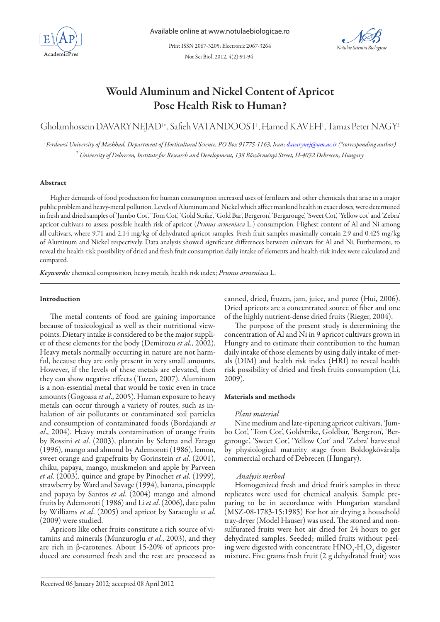

Not Sci Biol, 2012, 4(2):91-94 Print ISSN 2067-3205; Electronic 2067-3264



# Would Aluminum and Nickel Content of Apricot Pose Health Risk to Human?

Gholamhossein DAVARYNEJAD<sup>1</sup>\*, Safieh VATANDOOST<sup>1</sup>, Hamed KAVEH<sup>1</sup>, Tamas Peter NAGY<sup>2</sup>

<sup>1</sup> Ferdowsi University of Mashhad, Department of Horticultural Science, PO Box 91775-1163, Iran; davarynej@um.ac.ir (\*corresponding author) 2  *University of Debrecen, Institute for Research and Development, 138 Böszörményi Street, H-4032 Debrecen, Hungary* 

#### Abstract

Higher demands of food production for human consumption increased uses of fertilizers and other chemicals that arise in a major public problem and heavy-metal pollution. Levels of Aluminum and Nickel which affect mankind health in exact doses, were determined in fresh and dried samples of 'Jumbo Cot', 'Tom Cot', 'Gold Strike', 'Gold Bar', Bergeron', 'Bergarouge', 'Sweet Cot', 'Yellow cot' and 'Zebra' apricot cultivars to assess possible health risk of apricot (*Prunus armeniaca* L.) consumption. Highest content of Al and Ni among all cultivars, where 9.71 and 2.14 mg/kg of dehydrated apricot samples. Fresh fruit samples maximally contain 2.9 and 0.425 mg/kg of Aluminum and Nickel respectively. Data analysis showed significant differences between cultivars for Al and Ni. Furthermore, to reveal the health-risk possibility of dried and fresh fruit consumption daily intake of elements and health-risk index were calculated and compared.

*Keywords:* chemical composition, heavy metals, health risk index; *Prunus armeniaca* L.

# Introduction

The metal contents of food are gaining importance because of toxicological as well as their nutritional viewpoints. Dietary intake is considered to be the major supplier of these elements for the body (Demirozu *et al.*, 2002). Heavy metals normally occurring in nature are not harmful, because they are only present in very small amounts. However, if the levels of these metals are elevated, then they can show negative effects (Tuzen, 2007). Aluminum is a non-essential metal that would be toxic even in trace amounts (Gogoasa *et al*., 2005). Human exposure to heavy metals can occur through a variety of routes, such as inhalation of air pollutants or contaminated soil particles and consumption of contaminated foods (Bordajandi *et al*., 2004). Heavy metals contamination of orange fruits by Rossini *et al*. (2003), plantain by Selema and Farago (1996), mango and almond by Ademoroti (1986), lemon, sweet orange and grapefruits by Gorinstein *et al*. (2001), chiku, papaya, mango, muskmelon and apple by Parveen *et al*. (2003), quince and grape by Pinochet *et al*. (1999), strawberry by Ward and Savage (1994), banana, pineapple and papaya by Santos *et al*. (2004) mango and almond fruits by Ademoroti ( 1986) and Li *et al*. (2006), date palm by Williams *et al*. (2005) and apricot by Saracoglu *et al*. (2009) were studied.

Apricots like other fruits constitute a rich source of vitamins and minerals (Munzuroglu *et al.*, 2003), and they are rich in β-carotenes. About 15-20% of apricots produced are consumed fresh and the rest are processed as

canned, dried, frozen, jam, juice, and puree (Hui, 2006). Dried apricots are a concentrated source of fiber and one of the highly nutrient-dense dried fruits (Rieger, 2004).

The purpose of the present study is determining the concentration of Al and Ni in 9 apricot cultivars grown in Hungry and to estimate their contribution to the human daily intake of those elements by using daily intake of metals (DIM) and health risk index (HRI) to reveal health risk possibility of dried and fresh fruits consumption (Li, 2009).

#### Materials and methods

# *Plant material*

Nine medium and late-ripening apricot cultivars, 'Jumbo Cot', 'Tom Cot', Goldstrike, Goldbar, 'Bergeron', 'Bergarouge', 'Sweet Cot', 'Yellow Cot' and 'Zebra' harvested by physiological maturity stage from Boldogkőváralja commercial orchard of Debrecen (Hungary).

#### *Analysis method*

Homogenized fresh and dried fruit's samples in three replicates were used for chemical analysis. Sample preparing to be in accordance with Hungarian standard (MSZ-08-1783-15:1985) For hot air drying a household tray-dryer (Model Hauser) was used. The stoned and nonsulfurated fruits were hot air dried for 24 hours to get dehydrated samples. Seeded; milled fruits without peeling were digested with concentrate  $HNO<sub>3</sub>$ -H<sub>2</sub>O<sub>2</sub> digester mixture. Five grams fresh fruit (2 g dehydrated fruit) was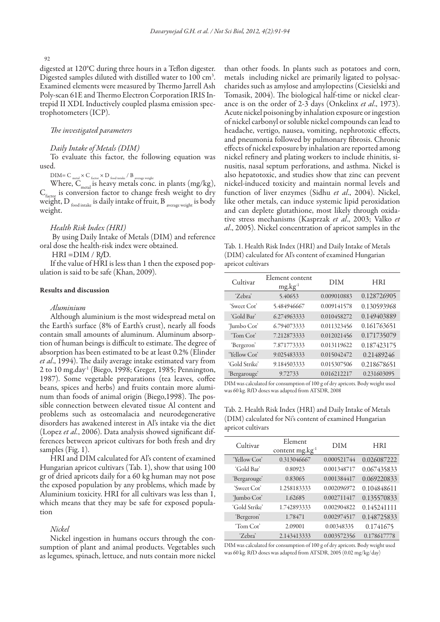92

digested at 120°C during three hours in a Teflon digester. Digested samples diluted with distilled water to 100 cm<sup>3</sup>. Examined elements were measured by Thermo Jarrell Ash Poly-scan 61E and Thermo Electron Corporation IRIS Intrepid II XDL Inductively coupled plasma emission spectrophotometers (ICP).

# *The investigated parameters*

#### *Daily Intake of Metals (DIM)*

To evaluate this factor, the following equation was used.

 $\rm{DIM}\rm{=C}\rm_{\rm{metal}}\times\rm{C}\rm_{\rm{factor}}\times\rm{D}\rm_{\rm{food\,intake}}$  /  $\rm{B}\rm_{\rm{average\,weight}}$ 

Where,  $C_{\text{metal}}$  is heavy metals conc. in plants (mg/kg),  $C_{\text{factor}}$  is conversion factor to change fresh weight to dry weight, D  $_{\text{food intake}}$  is daily intake of fruit, B  $_{\text{average weight}}$  is body weight.

#### *Health Risk Index (HRI)*

 By using Daily Intake of Metals (DIM) and reference oral dose the health-risk index were obtained.

HRI =DIM / R*f*D.

If the value of HRI is less than 1 then the exposed population is said to be safe (Khan, 2009).

#### Results and discussion

### *Aluminium*

Although aluminium is the most widespread metal on the Earth's surface (8% of Earth's crust), nearly all foods contain small amounts of aluminum. Aluminum absorption of human beings is difficult to estimate. The degree of absorption has been estimated to be at least 0.2% (Elinder *et al*., 1994). The daily average intake estimated vary from 2 to 10 mg.day<sup>1</sup> (Biego, 1998; Greger, 1985; Pennington, 1987). Some vegetable preparations (tea leaves, coffee beans, spices and herbs) and fruits contain more aluminum than foods of animal origin (Biego,1998). The possible connection between elevated tissue Al content and problems such as osteomalacia and neurodegenerative disorders has awakened interest in Al's intake via the diet (Lopez *et al.*, 2006). Data analysis showed significant differences between apricot cultivars for both fresh and dry samples (Fig. 1).

HRI and DIM calculated for Al's content of examined Hungarian apricot cultivars (Tab. 1), show that using 100 gr of dried apricots daily for a 60 kg human may not pose the exposed population by any problems, which made by Aluminium toxicity. HRI for all cultivars was less than 1, which means that they may be safe for exposed population

# *Nickel*

Nickel ingestion in humans occurs through the consumption of plant and animal products. Vegetables such as legumes, spinach, lettuce, and nuts contain more nickel

than other foods. In plants such as potatoes and corn, metals including nickel are primarily ligated to polysaccharides such as amylose and amylopectins (Ciesielski and Tomasik, 2004). The biological half-time or nickel clearance is on the order of 2-3 days (Onkelinx *et al*., 1973). Acute nickel poisoning by inhalation exposure or ingestion of nickel carbonyl or soluble nickel compounds can lead to headache, vertigo, nausea, vomiting, nephrotoxic effects, and pneumonia followed by pulmonary fibrosis. Chronic effects of nickel exposure by inhalation are reported among nickel refinery and plating workers to include rhinitis, sinusitis, nasal septum perforations, and asthma. Nickel is also hepatotoxic, and studies show that zinc can prevent nickel-induced toxicity and maintain normal levels and function of liver enzymes (Sidhu *et al*., 2004). Nickel, like other metals, can induce systemic lipid peroxidation and can deplete glutathione, most likely through oxidative stress mechanisms (Kasprzak *et al*., 2003; Valko *et al*., 2005). Nickel concentration of apricot samples in the

Tab. 1. Health Risk Index (HRI) and Daily Intake of Metals (DIM) calculated for Al's content of examined Hungarian apricot cultivars

| Cultivar      | Element content<br>$mg \cdot kg^{-1}$ | DIM         | <b>HRI</b>  |
|---------------|---------------------------------------|-------------|-------------|
| 'Zebra'       | 5.40653                               | 0.009010883 | 0.128726905 |
| 'Sweet Cot'   | 5.484946667                           | 0.009141578 | 0.130593968 |
| 'Gold Bar'    | 6.274963333                           | 0.010458272 | 0.149403889 |
| 'Jumbo Cot'   | 6.794073333                           | 0.011323456 | 0.161763651 |
| 'Tom Cot'     | 7.212873333                           | 0.012021456 | 0.171735079 |
| 'Bergeron'    | 7.871773333                           | 0.013119622 | 0.187423175 |
| 'Yellow Cot'  | 9.025483333                           | 0.015042472 | 0.21489246  |
| 'Gold Strike' | 9.184503333                           | 0.015307506 | 0.218678651 |
| 'Bergarouge'  | 9.72733                               | 0.016212217 | 0.231603095 |

DIM was calculated for consumption of 100 g of dry apricots. Body weight used was 60 kg. RfD doses was adapted from ATSDR, 2008

Tab. 2. Health Risk Index (HRI) and Daily Intake of Metals (DIM) calculated for Ni's content of examined Hungarian apricot cultivars

| Cultivar      | Element<br>content mg.kg <sup>-1</sup> | DIM         | <b>HRI</b>  |
|---------------|----------------------------------------|-------------|-------------|
| 'Yellow Cot'  | 0.313046667                            | 0.000521744 | 0.026087222 |
| 'Gold Bar'    | 0.80923                                | 0.001348717 | 0.067435833 |
| 'Bergarouge'  | 0.83065                                | 0.001384417 | 0.069220833 |
| 'Sweet Cot'   | 1.258183333                            | 0.002096972 | 0.104848611 |
| 'Jumbo Cot'   | 1.62685                                | 0.002711417 | 0.135570833 |
| 'Gold Strike' | 1.742893333                            | 0.002904822 | 0.145241111 |
| 'Bergeron'    | 1.78471                                | 0.002974517 | 0.148725833 |
| 'Tom Cot'     | 2.09001                                | 0.00348335  | 0.1741675   |
| 'Zebra'       | 2.143413333                            | 0.003572356 | 0.178617778 |

DIM was calculated for consumption of 100 g of dry apricots. Body weight used was 60 kg. RfD doses was adapted from ATSDR, 2005 (0.02 mg/kg/day)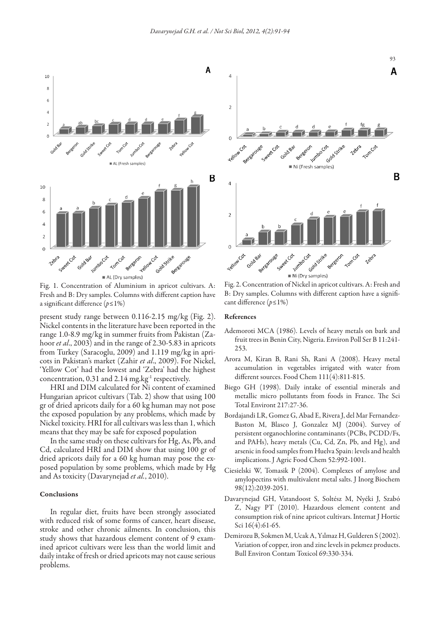

Fig. 1. Concentration of Aluminium in apricot cultivars. A: Fresh and B: Dry samples. Columns with different caption have a significant difference (*p≤*1%)

present study range between 0.116-2.15 mg/kg (Fig. 2). Nickel contents in the literature have been reported in the range 1.0-8.9 mg/kg in summer fruits from Pakistan (Zahoor *et al*., 2003) and in the range of 2.30-5.83 in apricots from Turkey (Saracoglu, 2009) and 1.119 mg/kg in apricots in Pakistan's market (Zahir *et al*., 2009). For Nickel, 'Yellow Cot' had the lowest and 'Zebra' had the highest concentration,  $0.31$  and  $2.14$  mg.kg<sup>-1</sup> respectively.

HRI and DIM calculated for Ni content of examined Hungarian apricot cultivars (Tab. 2) show that using 100 gr of dried apricots daily for a 60 kg human may not pose the exposed population by any problems, which made by Nickel toxicity. HRI for all cultivars was less than 1, which means that they may be safe for exposed population

In the same study on these cultivars for Hg, As, Pb, and Cd, calculated HRI and DIM show that using 100 gr of dried apricots daily for a 60 kg human may pose the exposed population by some problems, which made by Hg and As toxicity (Davarynejad *et al.*, 2010).

#### Conclusions

In regular diet, fruits have been strongly associated with reduced risk of some forms of cancer, heart disease, stroke and other chronic ailments. In conclusion, this study shows that hazardous element content of 9 examined apricot cultivars were less than the world limit and daily intake of fresh or dried apricots may not cause serious problems.



Fig. 2. Concentration of Nickel in apricot cultivars. A: Fresh and B: Dry samples. Columns with different caption have a significant difference (*p≤*1%)

#### References

- Ademoroti MCA (1986). Levels of heavy metals on bark and fruit trees in Benin City, Nigeria. Environ Poll Ser B 11:241- 253.
- Arora M, Kiran B, Rani Sh, Rani A (2008). Heavy metal accumulation in vegetables irrigated with water from different sources. Food Chem 111(4):811-815.
- Biego GH (1998). Daily intake of essential minerals and metallic micro pollutants from foods in France. The Sci Total Environt 217:27-36.
- Bordajandi LR, Gomez G, Abad E, Rivera J, del Mar Fernandez-Baston M, Blasco J, Gonzalez MJ (2004). Survey of persistent organochlorine contaminants (PCBs, PCDD/Fs, and PAHs), heavy metals (Cu, Cd, Zn, Pb, and Hg), and arsenic in food samples from Huelva Spain: levels and health implications. J Agric Food Chem 52:992-1001.
- Ciesielski W, Tomasik P (2004). Complexes of amylose and amylopectins with multivalent metal salts. J Inorg Biochem 98(12):2039-2051.
- Davarynejad GH, Vatandoost S, Soltész M, Nyéki J, Szabó Z, Nagy PT (2010). Hazardous element content and consumption risk of nine apricot cultivars. Internat J Hortic Sci 16(4):61-65.
- Demirozu B, Sokmen M, Ucak A, Yılmaz H, Gulderen S (2002). Variation of copper, iron and zinc levels in pekmez products. Bull Environ Contam Toxicol 69:330-334.